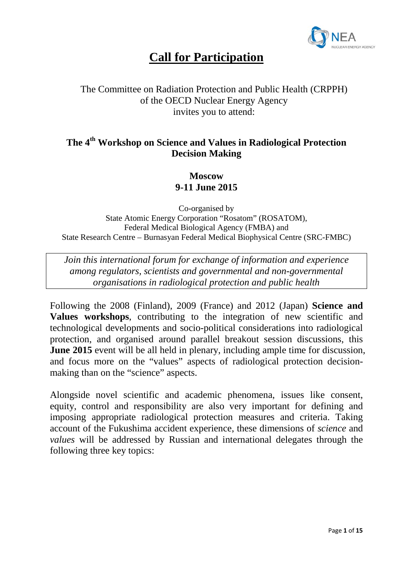

# **Call for Participation**

### The Committee on Radiation Protection and Public Health (CRPPH) of the OECD Nuclear Energy Agency invites you to attend:

## **The 4th Workshop on Science and Values in Radiological Protection Decision Making**

#### **Moscow 9-11 June 2015**

Co-organised by State Atomic Energy Corporation "Rosatom" (ROSATOM), Federal Medical Biological Agency (FMBA) and State Research Centre – Burnasyan Federal Medical Biophysical Centre (SRC-FMBC)

*Join this international forum for exchange of information and experience among regulators, scientists and governmental and non-governmental organisations in radiological protection and public health*

Following the 2008 (Finland), 2009 (France) and 2012 (Japan) **Science and Values workshops**, contributing to the integration of new scientific and technological developments and socio-political considerations into radiological protection, and organised around parallel breakout session discussions, this **June 2015** event will be all held in plenary, including ample time for discussion, and focus more on the "values" aspects of radiological protection decisionmaking than on the "science" aspects.

Alongside novel scientific and academic phenomena, issues like consent, equity, control and responsibility are also very important for defining and imposing appropriate radiological protection measures and criteria. Taking account of the Fukushima accident experience, these dimensions of *science* and *values* will be addressed by Russian and international delegates through the following three key topics: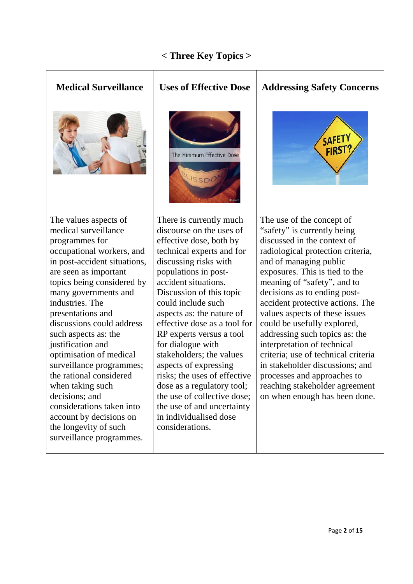### **< Three Key Topics >**





# **Medical Surveillance Uses of Effective Dose Addressing Safety Concerns**



The use of the concept of "safety" is currently being discussed in the context of radiological protection criteria, and of managing public exposures. This is tied to the meaning of "safety", and to decisions as to ending postaccident protective actions. The values aspects of these issues could be usefully explored, addressing such topics as: the interpretation of technical criteria; use of technical criteria in stakeholder discussions; and processes and approaches to reaching stakeholder agreement on when enough has been done.

The values aspects of medical surveillance programmes for occupational workers, and in post-accident situations, are seen as important topics being considered by many governments and industries. The presentations and discussions could address such aspects as: the justification and optimisation of medical surveillance programmes; the rational considered when taking such decisions; and considerations taken into account by decisions on the longevity of such surveillance programmes.

There is currently much discourse on the uses of effective dose, both by technical experts and for discussing risks with populations in postaccident situations. Discussion of this topic could include such aspects as: the nature of effective dose as a tool for RP experts versus a tool for dialogue with stakeholders; the values aspects of expressing risks; the uses of effective dose as a regulatory tool; the use of collective dose; the use of and uncertainty in individualised dose considerations.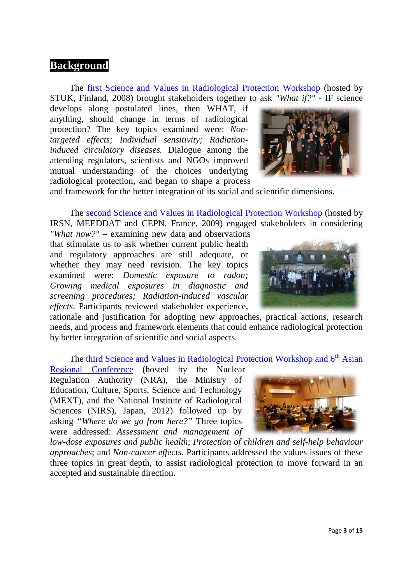#### **Background**

The [first Science and Values in Radiological Protection Workshop](http://www.nea.fr/html/rp/helsinki08/welcome.html) (hosted by STUK, Finland, 2008) brought stakeholders together to ask *"What if?"* - IF science

develops along postulated lines, then WHAT, if anything, should change in terms of radiological protection? The key topics examined were: *Nontargeted effects; Individual sensitivity; Radiationinduced circulatory diseases.* Dialogue among the attending regulators, scientists and NGOs improved mutual understanding of the choices underlying radiological protection, and began to shape a process



and framework for the better integration of its social and scientific dimensions.

The [second Science and Values in Radiological Protection Workshop](http://www.oecd-nea.org/rp/vaulx_de_cernay09/) (hosted by IRSN, MEEDDAT and CEPN, France, 2009) engaged stakeholders in considering

*"What now?"* – examining new data and observations that stimulate us to ask whether current public health and regulatory approaches are still adequate, or whether they may need revision. The key topics examined were: *Domestic exposure to radon; Growing medical exposures in diagnostic and screening procedures; Radiation-induced vascular effects*. Participants reviewed stakeholder experience,



rationale and justification for adopting new approaches, practical actions, research needs, and process and framework elements that could enhance radiological protection by better integration of scientific and social aspects.

The third [Science and Values in Radiological Protection Workshop and 6](http://www.oecd-nea.org/rp/workshops/tokyo2012/)<sup>th</sup> Asian

[Regional Conference](http://www.oecd-nea.org/rp/workshops/tokyo2012/) (hosted by the Nuclear Regulation Authority (NRA), the Ministry of Education, Culture, Sports, Science and Technology (MEXT), and the National Institute of Radiological Sciences (NIRS), Japan, 2012) followed up by asking *"Where do we go from here?"* Three topics were addressed: *Assessment and management of* 



*low-dose exposures and public health*; *Protection of children and self-help behaviour approaches*; and *Non-cancer effects*. Participants addressed the values issues of these three topics in great depth, to assist radiological protection to move forward in an accepted and sustainable direction.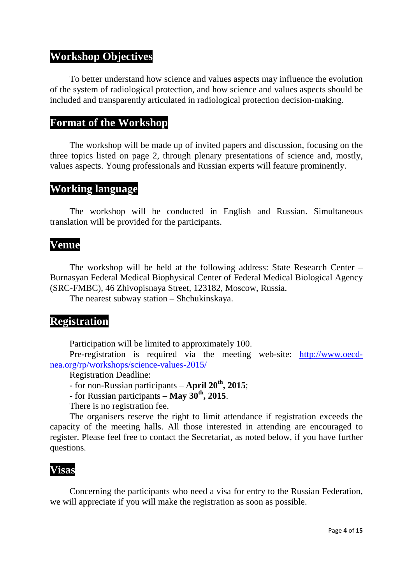### **Workshop Objectives**

To better understand how science and values aspects may influence the evolution of the system of radiological protection, and how science and values aspects should be included and transparently articulated in radiological protection decision-making.

#### **Format of the Workshop**

The workshop will be made up of invited papers and discussion, focusing on the three topics listed on page 2, through plenary presentations of science and, mostly, values aspects. Young professionals and Russian experts will feature prominently.

#### **Working language**

The workshop will be conducted in English and Russian. Simultaneous translation will be provided for the participants.

#### **Venue**

The workshop will be held at the following address: State Research Center – Burnasyan Federal Medical Biophysical Center of Federal Medical Biological Agency (SRC-FMBC), 46 Zhivopisnaya Street, 123182, Moscow, Russia.

The nearest subway station – Shchukinskaya.

## **Registration**

Participation will be limited to approximately 100.

Pre-registration is required via the meeting web-site: [http://www.oecd](http://www.oecd-nea.org/rp/workshops/science-values-2015/)[nea.org/rp/workshops/science-values-2015/](http://www.oecd-nea.org/rp/workshops/science-values-2015/)

Registration Deadline:

- for non-Russian participants – **April 20th, 2015**;

- for Russian participants – **May 30th, 2015**.

There is no registration fee.

The organisers reserve the right to limit attendance if registration exceeds the capacity of the meeting halls. All those interested in attending are encouraged to register. Please feel free to contact the Secretariat, as noted below, if you have further questions.

#### **Visas**

Concerning the participants who need a visa for entry to the Russian Federation, we will appreciate if you will make the registration as soon as possible.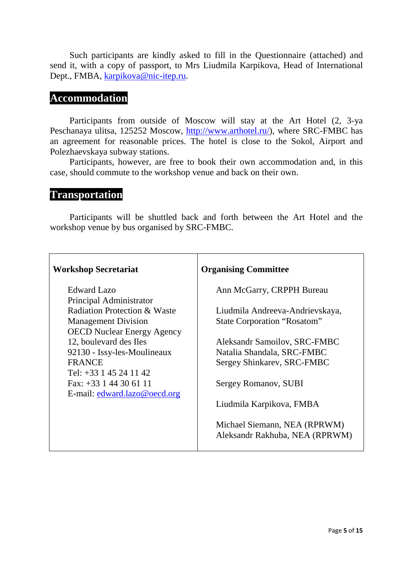Such participants are kindly asked to fill in the Questionnaire (attached) and send it, with a copy of passport, to Mrs Liudmila Karpikova, Head of International Dept., FMBA, [karpikova@nic-itep.ru.](mailto:karpikova@nic-itep.ru)

#### **Accommodation**

Participants from outside of Moscow will stay at the Art Hotel (2, 3-ya Peschanaya ulitsa, 125252 Moscow, [http://www.arthotel.ru/\)](http://www.arthotel.ru/), where SRC-FMBC has an agreement for reasonable prices. The hotel is close to the Sokol, Airport and Polezhaevskaya subway stations.

Participants, however, are free to book their own accommodation and, in this case, should commute to the workshop venue and back on their own.

#### **Transportation**

Participants will be shuttled back and forth between the Art Hotel and the workshop venue by bus organised by SRC-FMBC.

| <b>Workshop Secretariat</b>             | <b>Organising Committee</b>        |
|-----------------------------------------|------------------------------------|
| Edward Lazo                             | Ann McGarry, CRPPH Bureau          |
| Principal Administrator                 |                                    |
| <b>Radiation Protection &amp; Waste</b> | Liudmila Andreeva-Andrievskaya,    |
| <b>Management Division</b>              | <b>State Corporation "Rosatom"</b> |
| <b>OECD Nuclear Energy Agency</b>       |                                    |
| 12, boulevard des Iles                  | Aleksandr Samoilov, SRC-FMBC       |
| 92130 - Issy-les-Moulineaux             | Natalia Shandala, SRC-FMBC         |
| <b>FRANCE</b>                           | Sergey Shinkarev, SRC-FMBC         |
| Tel: $+33$ 1 45 24 11 42                |                                    |
| Fax: $+33$ 1 44 30 61 11                | Sergey Romanov, SUBI               |
| E-mail: edward.lazo@oecd.org            |                                    |
|                                         | Liudmila Karpikova, FMBA           |
|                                         |                                    |
|                                         | Michael Siemann, NEA (RPRWM)       |
|                                         | Aleksandr Rakhuba, NEA (RPRWM)     |
|                                         |                                    |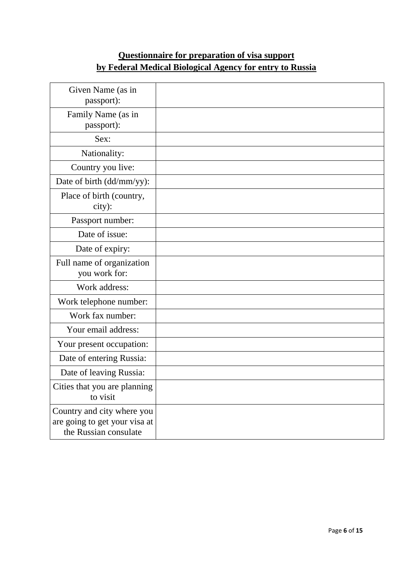## **Questionnaire for preparation of visa support by Federal Medical Biological Agency for entry to Russia**

| Given Name (as in<br>passport):                                                      |  |
|--------------------------------------------------------------------------------------|--|
| Family Name (as in<br>passport):                                                     |  |
| Sex:                                                                                 |  |
| Nationality:                                                                         |  |
| Country you live:                                                                    |  |
| Date of birth (dd/mm/yy):                                                            |  |
| Place of birth (country,<br>city):                                                   |  |
| Passport number:                                                                     |  |
| Date of issue:                                                                       |  |
| Date of expiry:                                                                      |  |
| Full name of organization<br>you work for:                                           |  |
| Work address:                                                                        |  |
| Work telephone number:                                                               |  |
| Work fax number:                                                                     |  |
| Your email address:                                                                  |  |
| Your present occupation:                                                             |  |
| Date of entering Russia:                                                             |  |
| Date of leaving Russia:                                                              |  |
| Cities that you are planning<br>to visit                                             |  |
| Country and city where you<br>are going to get your visa at<br>the Russian consulate |  |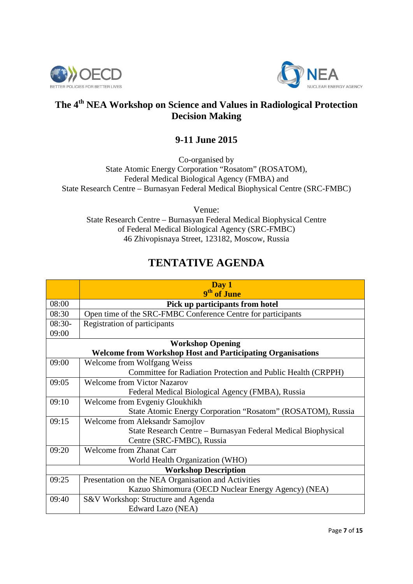



## **The 4th NEA Workshop on Science and Values in Radiological Protection Decision Making**

### **9-11 June 2015**

Co-organised by State Atomic Energy Corporation "Rosatom" (ROSATOM), Federal Medical Biological Agency (FMBA) and State Research Centre – Burnasyan Federal Medical Biophysical Centre (SRC-FMBC)

Venue:

State Research Centre – Burnasyan Federal Medical Biophysical Centre of Federal Medical Biological Agency (SRC-FMBC) 46 Zhivopisnaya Street, 123182, Moscow, Russia

## **TENTATIVE AGENDA**

|                                                                   | Day 1                                                         |  |
|-------------------------------------------------------------------|---------------------------------------------------------------|--|
|                                                                   | 9 <sup>th</sup> of June                                       |  |
| 08:00                                                             | Pick up participants from hotel                               |  |
| 08:30                                                             | Open time of the SRC-FMBC Conference Centre for participants  |  |
| $08:30-$                                                          | Registration of participants                                  |  |
| 09:00                                                             |                                                               |  |
|                                                                   | <b>Workshop Opening</b>                                       |  |
| <b>Welcome from Workshop Host and Participating Organisations</b> |                                                               |  |
| 09:00                                                             | Welcome from Wolfgang Weiss                                   |  |
|                                                                   | Committee for Radiation Protection and Public Health (CRPPH)  |  |
| 09:05                                                             | <b>Welcome from Victor Nazarov</b>                            |  |
|                                                                   | Federal Medical Biological Agency (FMBA), Russia              |  |
| 09:10                                                             | Welcome from Evgeniy Gloukhikh                                |  |
|                                                                   | State Atomic Energy Corporation "Rosatom" (ROSATOM), Russia   |  |
| 09:15                                                             | <b>Welcome from Aleksandr Samojlov</b>                        |  |
|                                                                   | State Research Centre – Burnasyan Federal Medical Biophysical |  |
|                                                                   | Centre (SRC-FMBC), Russia                                     |  |
| 09:20                                                             | <b>Welcome from Zhanat Carr</b>                               |  |
|                                                                   | World Health Organization (WHO)                               |  |
| <b>Workshop Description</b>                                       |                                                               |  |
| 09:25                                                             | Presentation on the NEA Organisation and Activities           |  |
|                                                                   | Kazuo Shimomura (OECD Nuclear Energy Agency) (NEA)            |  |
| 09:40                                                             | S&V Workshop: Structure and Agenda                            |  |
|                                                                   | Edward Lazo (NEA)                                             |  |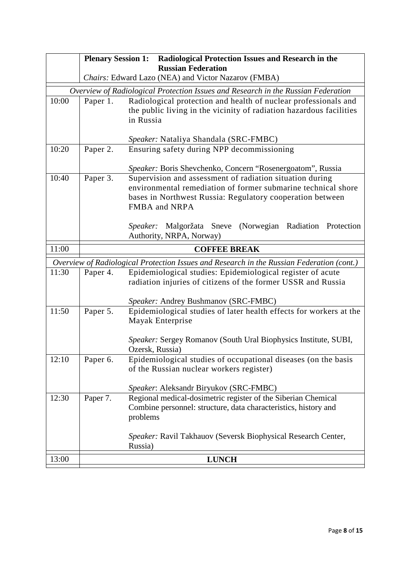|       | <b>Plenary Session 1:</b> | Radiological Protection Issues and Research in the                                        |
|-------|---------------------------|-------------------------------------------------------------------------------------------|
|       |                           | <b>Russian Federation</b><br>Chairs: Edward Lazo (NEA) and Victor Nazarov (FMBA)          |
|       |                           | Overview of Radiological Protection Issues and Research in the Russian Federation         |
| 10:00 | Paper 1.                  | Radiological protection and health of nuclear professionals and                           |
|       |                           | the public living in the vicinity of radiation hazardous facilities                       |
|       |                           | in Russia                                                                                 |
|       |                           |                                                                                           |
|       |                           | Speaker: Nataliya Shandala (SRC-FMBC)                                                     |
| 10:20 | Paper 2.                  | Ensuring safety during NPP decommissioning                                                |
|       |                           | Speaker: Boris Shevchenko, Concern "Rosenergoatom", Russia                                |
| 10:40 | Paper 3.                  | Supervision and assessment of radiation situation during                                  |
|       |                           | environmental remediation of former submarine technical shore                             |
|       |                           | bases in Northwest Russia: Regulatory cooperation between                                 |
|       |                           | FMBA and NRPA                                                                             |
|       |                           |                                                                                           |
|       |                           | Malgoržata Sneve (Norwegian Radiation Protection<br>Speaker:                              |
|       |                           | Authority, NRPA, Norway)                                                                  |
| 11:00 |                           | <b>COFFEE BREAK</b>                                                                       |
|       |                           | Overview of Radiological Protection Issues and Research in the Russian Federation (cont.) |
| 11:30 | Paper 4.                  | Epidemiological studies: Epidemiological register of acute                                |
|       |                           | radiation injuries of citizens of the former USSR and Russia                              |
|       |                           | Speaker: Andrey Bushmanov (SRC-FMBC)                                                      |
| 11:50 | Paper 5.                  | Epidemiological studies of later health effects for workers at the                        |
|       |                           | Mayak Enterprise                                                                          |
|       |                           |                                                                                           |
|       |                           | Speaker: Sergey Romanov (South Ural Biophysics Institute, SUBI,                           |
| 12:10 | Paper 6.                  | Ozersk, Russia)<br>Epidemiological studies of occupational diseases (on the basis         |
|       |                           | of the Russian nuclear workers register)                                                  |
|       |                           |                                                                                           |
|       |                           | Speaker: Aleksandr Biryukov (SRC-FMBC)                                                    |
| 12:30 | Paper 7.                  | Regional medical-dosimetric register of the Siberian Chemical                             |
|       |                           | Combine personnel: structure, data characteristics, history and                           |
|       |                           | problems                                                                                  |
|       |                           |                                                                                           |
|       |                           | Speaker: Ravil Takhauov (Seversk Biophysical Research Center,<br>Russia)                  |
|       |                           |                                                                                           |
| 13:00 |                           | <b>LUNCH</b>                                                                              |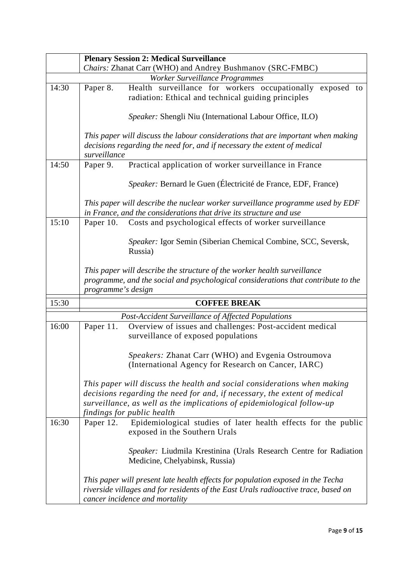|       | <b>Plenary Session 2: Medical Surveillance</b>                                                                                                                                                                                                                |
|-------|---------------------------------------------------------------------------------------------------------------------------------------------------------------------------------------------------------------------------------------------------------------|
|       | Chairs: Zhanat Carr (WHO) and Andrey Bushmanov (SRC-FMBC)                                                                                                                                                                                                     |
|       | Worker Surveillance Programmes                                                                                                                                                                                                                                |
| 14:30 | Health surveillance for workers occupationally exposed to<br>Paper 8.                                                                                                                                                                                         |
|       | radiation: Ethical and technical guiding principles                                                                                                                                                                                                           |
|       | Speaker: Shengli Niu (International Labour Office, ILO)                                                                                                                                                                                                       |
|       | This paper will discuss the labour considerations that are important when making                                                                                                                                                                              |
|       | decisions regarding the need for, and if necessary the extent of medical<br>surveillance                                                                                                                                                                      |
| 14:50 | Practical application of worker surveillance in France<br>Paper 9.                                                                                                                                                                                            |
|       | Speaker: Bernard le Guen (Électricité de France, EDF, France)                                                                                                                                                                                                 |
|       | This paper will describe the nuclear worker surveillance programme used by EDF<br>in France, and the considerations that drive its structure and use                                                                                                          |
| 15:10 | Costs and psychological effects of worker surveillance<br>Paper 10.                                                                                                                                                                                           |
|       |                                                                                                                                                                                                                                                               |
|       | Speaker: Igor Semin (Siberian Chemical Combine, SCC, Seversk,<br>Russia)                                                                                                                                                                                      |
|       | This paper will describe the structure of the worker health surveillance                                                                                                                                                                                      |
|       | programme, and the social and psychological considerations that contribute to the                                                                                                                                                                             |
|       | programme's design                                                                                                                                                                                                                                            |
| 15:30 | <b>COFFEE BREAK</b>                                                                                                                                                                                                                                           |
|       |                                                                                                                                                                                                                                                               |
|       | Post-Accident Surveillance of Affected Populations                                                                                                                                                                                                            |
| 16:00 | Overview of issues and challenges: Post-accident medical<br>Paper 11.<br>surveillance of exposed populations                                                                                                                                                  |
|       | Speakers: Zhanat Carr (WHO) and Evgenia Ostroumova<br>(International Agency for Research on Cancer, IARC)                                                                                                                                                     |
|       | This paper will discuss the health and social considerations when making<br>decisions regarding the need for and, if necessary, the extent of medical<br>surveillance, as well as the implications of epidemiological follow-up<br>findings for public health |
| 16:30 | Paper 12. Epidemiological studies of later health effects for the public<br>exposed in the Southern Urals                                                                                                                                                     |
|       | Speaker: Liudmila Krestinina (Urals Research Centre for Radiation<br>Medicine, Chelyabinsk, Russia)                                                                                                                                                           |
|       | This paper will present late health effects for population exposed in the Techa<br>riverside villages and for residents of the East Urals radioactive trace, based on<br>cancer incidence and mortality                                                       |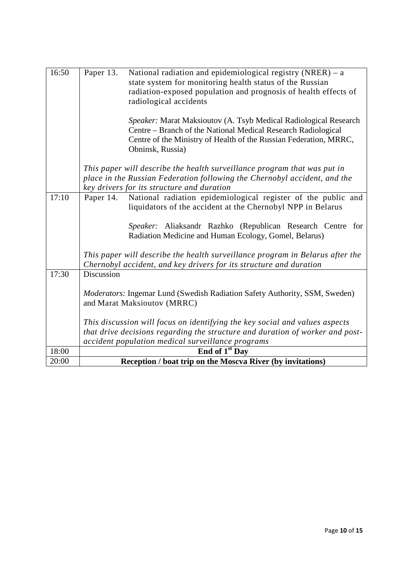| 16:50 | Paper 13.<br>National radiation and epidemiological registry $(NRER) - a$<br>state system for monitoring health status of the Russian<br>radiation-exposed population and prognosis of health effects of<br>radiological accidents<br>Speaker: Marat Maksioutov (A. Tsyb Medical Radiological Research<br>Centre - Branch of the National Medical Research Radiological |
|-------|-------------------------------------------------------------------------------------------------------------------------------------------------------------------------------------------------------------------------------------------------------------------------------------------------------------------------------------------------------------------------|
|       | Centre of the Ministry of Health of the Russian Federation, MRRC,<br>Obninsk, Russia)                                                                                                                                                                                                                                                                                   |
|       | This paper will describe the health surveillance program that was put in                                                                                                                                                                                                                                                                                                |
|       | place in the Russian Federation following the Chernobyl accident, and the                                                                                                                                                                                                                                                                                               |
|       | key drivers for its structure and duration                                                                                                                                                                                                                                                                                                                              |
| 17:10 | National radiation epidemiological register of the public and<br>Paper 14.<br>liquidators of the accident at the Chernobyl NPP in Belarus                                                                                                                                                                                                                               |
|       | Speaker: Aliaksandr Razhko (Republican Research Centre for<br>Radiation Medicine and Human Ecology, Gomel, Belarus)                                                                                                                                                                                                                                                     |
|       | This paper will describe the health surveillance program in Belarus after the<br>Chernobyl accident, and key drivers for its structure and duration                                                                                                                                                                                                                     |
| 17:30 | Discussion                                                                                                                                                                                                                                                                                                                                                              |
|       | Moderators: Ingemar Lund (Swedish Radiation Safety Authority, SSM, Sweden)<br>and Marat Maksioutov (MRRC)                                                                                                                                                                                                                                                               |
|       | This discussion will focus on identifying the key social and values aspects                                                                                                                                                                                                                                                                                             |
|       | that drive decisions regarding the structure and duration of worker and post-                                                                                                                                                                                                                                                                                           |
|       | accident population medical surveillance programs                                                                                                                                                                                                                                                                                                                       |
| 18:00 | End of 1 <sup>st</sup> Day                                                                                                                                                                                                                                                                                                                                              |
| 20:00 | Reception / boat trip on the Moscva River (by invitations)                                                                                                                                                                                                                                                                                                              |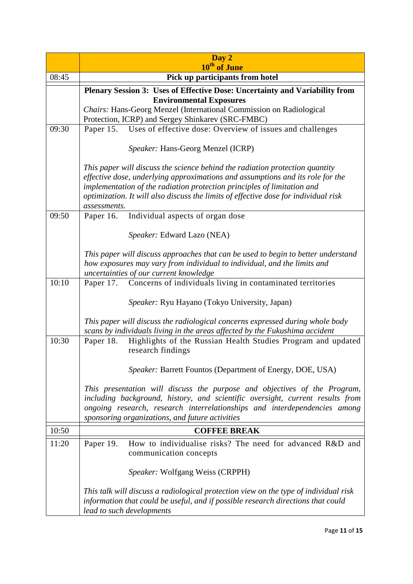|       | Day 2<br>10 <sup>th</sup> of June                                                                                                                                                                                                                                                                                                                |  |
|-------|--------------------------------------------------------------------------------------------------------------------------------------------------------------------------------------------------------------------------------------------------------------------------------------------------------------------------------------------------|--|
| 08:45 | Pick up participants from hotel                                                                                                                                                                                                                                                                                                                  |  |
|       | Plenary Session 3: Uses of Effective Dose: Uncertainty and Variability from                                                                                                                                                                                                                                                                      |  |
|       | <b>Environmental Exposures</b>                                                                                                                                                                                                                                                                                                                   |  |
|       | Chairs: Hans-Georg Menzel (International Commission on Radiological                                                                                                                                                                                                                                                                              |  |
|       | Protection, ICRP) and Sergey Shinkarev (SRC-FMBC)                                                                                                                                                                                                                                                                                                |  |
| 09:30 | Uses of effective dose: Overview of issues and challenges<br>Paper 15.                                                                                                                                                                                                                                                                           |  |
|       | <i>Speaker:</i> Hans-Georg Menzel (ICRP)                                                                                                                                                                                                                                                                                                         |  |
|       | This paper will discuss the science behind the radiation protection quantity<br>effective dose, underlying approximations and assumptions and its role for the<br>implementation of the radiation protection principles of limitation and<br>optimization. It will also discuss the limits of effective dose for individual risk<br>assessments. |  |
| 09:50 | Individual aspects of organ dose<br>Paper 16.                                                                                                                                                                                                                                                                                                    |  |
|       | Speaker: Edward Lazo (NEA)                                                                                                                                                                                                                                                                                                                       |  |
|       | This paper will discuss approaches that can be used to begin to better understand<br>how exposures may vary from individual to individual, and the limits and<br>uncertainties of our current knowledge                                                                                                                                          |  |
| 10:10 | Paper 17. Concerns of individuals living in contaminated territories                                                                                                                                                                                                                                                                             |  |
|       | Speaker: Ryu Hayano (Tokyo University, Japan)                                                                                                                                                                                                                                                                                                    |  |
|       | This paper will discuss the radiological concerns expressed during whole body<br>scans by individuals living in the areas affected by the Fukushima accident                                                                                                                                                                                     |  |
| 10:30 | Highlights of the Russian Health Studies Program and updated<br>Paper 18.<br>research findings                                                                                                                                                                                                                                                   |  |
|       | Speaker: Barrett Fountos (Department of Energy, DOE, USA)                                                                                                                                                                                                                                                                                        |  |
|       | This presentation will discuss the purpose and objectives of the Program,<br>including background, history, and scientific oversight, current results from<br>ongoing research, research interrelationships and interdependencies among<br>sponsoring organizations, and future activities                                                       |  |
| 10:50 | <b>COFFEE BREAK</b>                                                                                                                                                                                                                                                                                                                              |  |
| 11:20 | How to individualise risks? The need for advanced R&D and<br>Paper 19.<br>communication concepts                                                                                                                                                                                                                                                 |  |
|       | Speaker: Wolfgang Weiss (CRPPH)                                                                                                                                                                                                                                                                                                                  |  |
|       | This talk will discuss a radiological protection view on the type of individual risk<br>information that could be useful, and if possible research directions that could<br>lead to such developments                                                                                                                                            |  |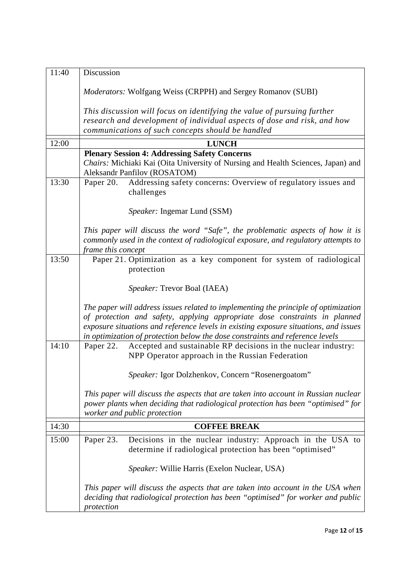| 11:40 | Discussion                                                                                                                                                                                                                                                                                                                                 |
|-------|--------------------------------------------------------------------------------------------------------------------------------------------------------------------------------------------------------------------------------------------------------------------------------------------------------------------------------------------|
|       |                                                                                                                                                                                                                                                                                                                                            |
|       | Moderators: Wolfgang Weiss (CRPPH) and Sergey Romanov (SUBI)                                                                                                                                                                                                                                                                               |
|       | This discussion will focus on identifying the value of pursuing further                                                                                                                                                                                                                                                                    |
|       | research and development of individual aspects of dose and risk, and how                                                                                                                                                                                                                                                                   |
|       | communications of such concepts should be handled                                                                                                                                                                                                                                                                                          |
| 12:00 | <b>LUNCH</b>                                                                                                                                                                                                                                                                                                                               |
|       | <b>Plenary Session 4: Addressing Safety Concerns</b>                                                                                                                                                                                                                                                                                       |
|       | Chairs: Michiaki Kai (Oita University of Nursing and Health Sciences, Japan) and<br>Aleksandr Panfilov (ROSATOM)                                                                                                                                                                                                                           |
| 13:30 | Addressing safety concerns: Overview of regulatory issues and<br>Paper 20.<br>challenges                                                                                                                                                                                                                                                   |
|       |                                                                                                                                                                                                                                                                                                                                            |
|       | <i>Speaker:</i> Ingemar Lund (SSM)                                                                                                                                                                                                                                                                                                         |
|       | This paper will discuss the word "Safe", the problematic aspects of how it is                                                                                                                                                                                                                                                              |
|       | commonly used in the context of radiological exposure, and regulatory attempts to                                                                                                                                                                                                                                                          |
|       | frame this concept                                                                                                                                                                                                                                                                                                                         |
| 13:50 | Paper 21. Optimization as a key component for system of radiological<br>protection                                                                                                                                                                                                                                                         |
|       | Speaker: Trevor Boal (IAEA)                                                                                                                                                                                                                                                                                                                |
|       | The paper will address issues related to implementing the principle of optimization<br>of protection and safety, applying appropriate dose constraints in planned<br>exposure situations and reference levels in existing exposure situations, and issues<br>in optimization of protection below the dose constraints and reference levels |
| 14:10 | Accepted and sustainable RP decisions in the nuclear industry:<br>Paper 22.<br>NPP Operator approach in the Russian Federation                                                                                                                                                                                                             |
|       | Speaker: Igor Dolzhenkov, Concern "Rosenergoatom"                                                                                                                                                                                                                                                                                          |
|       | This paper will discuss the aspects that are taken into account in Russian nuclear<br>power plants when deciding that radiological protection has been "optimised" for<br>worker and public protection                                                                                                                                     |
| 14:30 | <b>COFFEE BREAK</b>                                                                                                                                                                                                                                                                                                                        |
| 15:00 | Paper 23.<br>Decisions in the nuclear industry: Approach in the USA to<br>determine if radiological protection has been "optimised"                                                                                                                                                                                                        |
|       | Speaker: Willie Harris (Exelon Nuclear, USA)                                                                                                                                                                                                                                                                                               |
|       | This paper will discuss the aspects that are taken into account in the USA when<br>deciding that radiological protection has been "optimised" for worker and public<br>protection                                                                                                                                                          |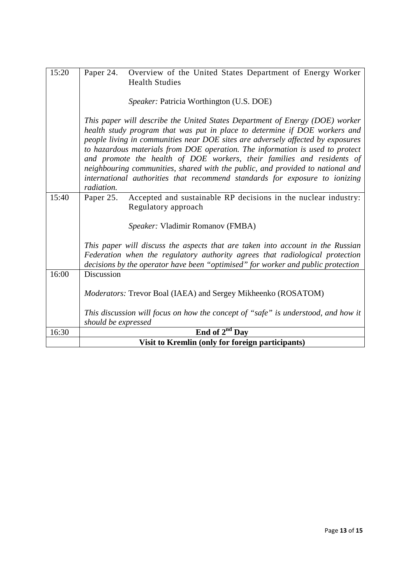| 15:20 | Paper 24.<br>Overview of the United States Department of Energy Worker<br><b>Health Studies</b>                                                                                                                                                                                                                                                                                                                                                                                                                                                                                         |
|-------|-----------------------------------------------------------------------------------------------------------------------------------------------------------------------------------------------------------------------------------------------------------------------------------------------------------------------------------------------------------------------------------------------------------------------------------------------------------------------------------------------------------------------------------------------------------------------------------------|
|       | <i>Speaker: Patricia Worthington (U.S. DOE)</i>                                                                                                                                                                                                                                                                                                                                                                                                                                                                                                                                         |
|       | This paper will describe the United States Department of Energy (DOE) worker<br>health study program that was put in place to determine if DOE workers and<br>people living in communities near DOE sites are adversely affected by exposures<br>to hazardous materials from DOE operation. The information is used to protect<br>and promote the health of DOE workers, their families and residents of<br>neighbouring communities, shared with the public, and provided to national and<br>international authorities that recommend standards for exposure to ionizing<br>radiation. |
| 15:40 | Accepted and sustainable RP decisions in the nuclear industry:<br>Paper 25.<br>Regulatory approach                                                                                                                                                                                                                                                                                                                                                                                                                                                                                      |
|       | Speaker: Vladimir Romanov (FMBA)                                                                                                                                                                                                                                                                                                                                                                                                                                                                                                                                                        |
|       | This paper will discuss the aspects that are taken into account in the Russian<br>Federation when the regulatory authority agrees that radiological protection<br>decisions by the operator have been "optimised" for worker and public protection                                                                                                                                                                                                                                                                                                                                      |
| 16:00 | Discussion                                                                                                                                                                                                                                                                                                                                                                                                                                                                                                                                                                              |
|       | Moderators: Trevor Boal (IAEA) and Sergey Mikheenko (ROSATOM)                                                                                                                                                                                                                                                                                                                                                                                                                                                                                                                           |
|       | This discussion will focus on how the concept of "safe" is understood, and how it                                                                                                                                                                                                                                                                                                                                                                                                                                                                                                       |
| 16:30 | should be expressed<br>End of $2^{nd}$ Day                                                                                                                                                                                                                                                                                                                                                                                                                                                                                                                                              |
|       | Visit to Kremlin (only for foreign participants)                                                                                                                                                                                                                                                                                                                                                                                                                                                                                                                                        |
|       |                                                                                                                                                                                                                                                                                                                                                                                                                                                                                                                                                                                         |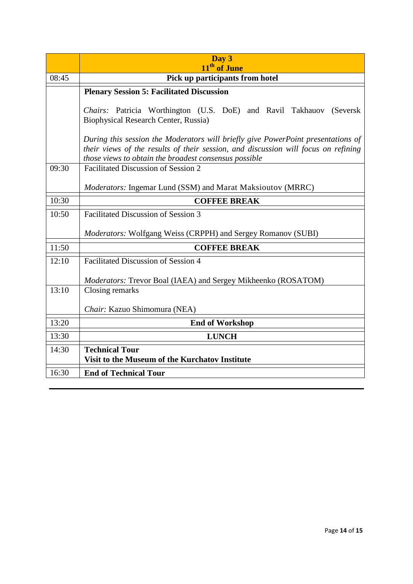|       | Day 3<br>11 <sup>th</sup> of June                                                                                                                                                                                               |
|-------|---------------------------------------------------------------------------------------------------------------------------------------------------------------------------------------------------------------------------------|
| 08:45 | Pick up participants from hotel                                                                                                                                                                                                 |
|       | <b>Plenary Session 5: Facilitated Discussion</b>                                                                                                                                                                                |
|       | Chairs: Patricia Worthington (U.S. DoE) and Ravil Takhauov (Seversk<br>Biophysical Research Center, Russia)                                                                                                                     |
|       | During this session the Moderators will briefly give PowerPoint presentations of<br>their views of the results of their session, and discussion will focus on refining<br>those views to obtain the broadest consensus possible |
| 09:30 | Facilitated Discussion of Session 2                                                                                                                                                                                             |
|       | <i>Moderators:</i> Ingemar Lund (SSM) and Marat Maksioutov (MRRC)                                                                                                                                                               |
| 10:30 | <b>COFFEE BREAK</b>                                                                                                                                                                                                             |
| 10:50 | <b>Facilitated Discussion of Session 3</b>                                                                                                                                                                                      |
|       | Moderators: Wolfgang Weiss (CRPPH) and Sergey Romanov (SUBI)                                                                                                                                                                    |
| 11:50 | <b>COFFEE BREAK</b>                                                                                                                                                                                                             |
| 12:10 | <b>Facilitated Discussion of Session 4</b>                                                                                                                                                                                      |
|       | Moderators: Trevor Boal (IAEA) and Sergey Mikheenko (ROSATOM)                                                                                                                                                                   |
| 13:10 | Closing remarks                                                                                                                                                                                                                 |
|       | Chair: Kazuo Shimomura (NEA)                                                                                                                                                                                                    |
| 13:20 | <b>End of Workshop</b>                                                                                                                                                                                                          |
| 13:30 | <b>LUNCH</b>                                                                                                                                                                                                                    |
| 14:30 | <b>Technical Tour</b><br>Visit to the Museum of the Kurchatov Institute                                                                                                                                                         |
| 16:30 | <b>End of Technical Tour</b>                                                                                                                                                                                                    |